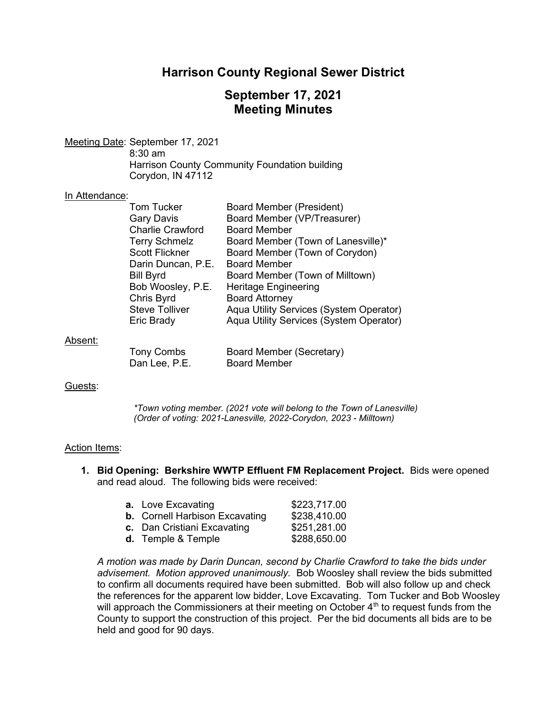## Harrison County Regional Sewer District

# September 17, 2021 Meeting Minutes

Meeting Date: September 17, 2021 8:30 am Harrison County Community Foundation building Corydon, IN 47112

### In Attendance:

| <b>Tom Tucker</b>       | Board Member (President)                |
|-------------------------|-----------------------------------------|
| <b>Gary Davis</b>       | Board Member (VP/Treasurer)             |
| <b>Charlie Crawford</b> | <b>Board Member</b>                     |
| <b>Terry Schmelz</b>    | Board Member (Town of Lanesville)*      |
| <b>Scott Flickner</b>   | Board Member (Town of Corydon)          |
| Darin Duncan, P.E.      | <b>Board Member</b>                     |
| <b>Bill Byrd</b>        | Board Member (Town of Milltown)         |
| Bob Woosley, P.E.       | <b>Heritage Engineering</b>             |
| Chris Byrd              | <b>Board Attorney</b>                   |
| <b>Steve Tolliver</b>   | Aqua Utility Services (System Operator) |
| <b>Eric Brady</b>       | Aqua Utility Services (System Operator) |
|                         |                                         |
|                         |                                         |

### Absent:

Tony Combs Board Member (Secretary) Dan Lee, P.E. Board Member

Guests:

\*Town voting member. (2021 vote will belong to the Town of Lanesville) (Order of voting: 2021-Lanesville, 2022-Corydon, 2023 - Milltown)

### Action Items:

1. Bid Opening: Berkshire WWTP Effluent FM Replacement Project. Bids were opened and read aloud. The following bids were received:

| <b>a.</b> Love Excavating             | \$223,717.00 |
|---------------------------------------|--------------|
| <b>b.</b> Cornell Harbison Excavating | \$238,410.00 |
| c. Dan Cristiani Excavating           | \$251,281.00 |
| d. Temple & Temple                    | \$288,650.00 |

A motion was made by Darin Duncan, second by Charlie Crawford to take the bids under advisement. Motion approved unanimously. Bob Woosley shall review the bids submitted to confirm all documents required have been submitted. Bob will also follow up and check the references for the apparent low bidder, Love Excavating. Tom Tucker and Bob Woosley will approach the Commissioners at their meeting on October  $4<sup>th</sup>$  to request funds from the County to support the construction of this project. Per the bid documents all bids are to be held and good for 90 days.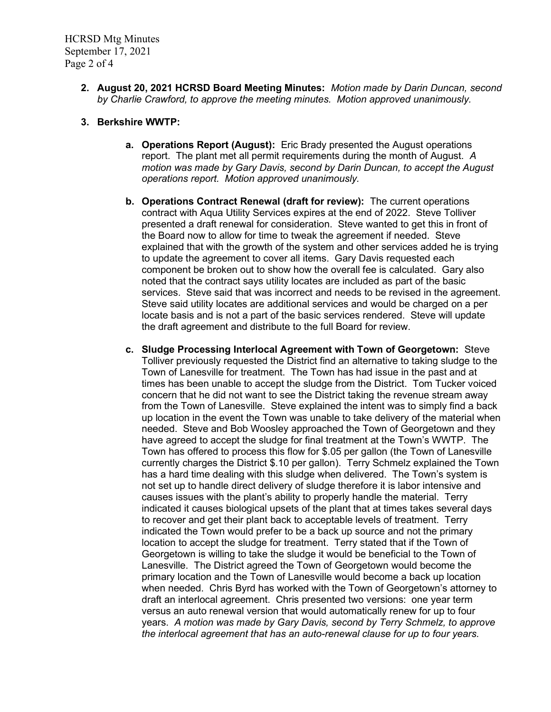HCRSD Mtg Minutes September 17, 2021 Page 2 of 4

- 2. August 20, 2021 HCRSD Board Meeting Minutes: Motion made by Darin Duncan, second by Charlie Crawford, to approve the meeting minutes. Motion approved unanimously.
- 3. Berkshire WWTP:
	- a. Operations Report (August): Eric Brady presented the August operations report. The plant met all permit requirements during the month of August. A motion was made by Gary Davis, second by Darin Duncan, to accept the August operations report. Motion approved unanimously.
	- b. Operations Contract Renewal (draft for review): The current operations contract with Aqua Utility Services expires at the end of 2022. Steve Tolliver presented a draft renewal for consideration. Steve wanted to get this in front of the Board now to allow for time to tweak the agreement if needed. Steve explained that with the growth of the system and other services added he is trying to update the agreement to cover all items. Gary Davis requested each component be broken out to show how the overall fee is calculated. Gary also noted that the contract says utility locates are included as part of the basic services. Steve said that was incorrect and needs to be revised in the agreement. Steve said utility locates are additional services and would be charged on a per locate basis and is not a part of the basic services rendered. Steve will update the draft agreement and distribute to the full Board for review.
	- c. Sludge Processing Interlocal Agreement with Town of Georgetown: Steve Tolliver previously requested the District find an alternative to taking sludge to the Town of Lanesville for treatment. The Town has had issue in the past and at times has been unable to accept the sludge from the District. Tom Tucker voiced concern that he did not want to see the District taking the revenue stream away from the Town of Lanesville. Steve explained the intent was to simply find a back up location in the event the Town was unable to take delivery of the material when needed. Steve and Bob Woosley approached the Town of Georgetown and they have agreed to accept the sludge for final treatment at the Town's WWTP. The Town has offered to process this flow for \$.05 per gallon (the Town of Lanesville currently charges the District \$.10 per gallon). Terry Schmelz explained the Town has a hard time dealing with this sludge when delivered. The Town's system is not set up to handle direct delivery of sludge therefore it is labor intensive and causes issues with the plant's ability to properly handle the material. Terry indicated it causes biological upsets of the plant that at times takes several days to recover and get their plant back to acceptable levels of treatment. Terry indicated the Town would prefer to be a back up source and not the primary location to accept the sludge for treatment. Terry stated that if the Town of Georgetown is willing to take the sludge it would be beneficial to the Town of Lanesville. The District agreed the Town of Georgetown would become the primary location and the Town of Lanesville would become a back up location when needed. Chris Byrd has worked with the Town of Georgetown's attorney to draft an interlocal agreement. Chris presented two versions: one year term versus an auto renewal version that would automatically renew for up to four years. A motion was made by Gary Davis, second by Terry Schmelz, to approve the interlocal agreement that has an auto-renewal clause for up to four years.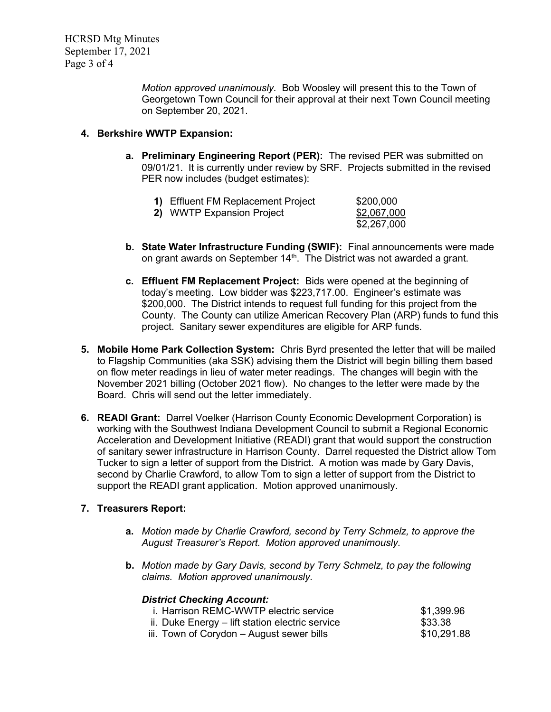Motion approved unanimously. Bob Woosley will present this to the Town of Georgetown Town Council for their approval at their next Town Council meeting on September 20, 2021.

## 4. Berkshire WWTP Expansion:

a. Preliminary Engineering Report (PER): The revised PER was submitted on 09/01/21. It is currently under review by SRF. Projects submitted in the revised PER now includes (budget estimates):

| 1) Effluent FM Replacement Project | \$200,000   |
|------------------------------------|-------------|
| 2) WWTP Expansion Project          | \$2,067,000 |
|                                    | \$2,267,000 |

- b. State Water Infrastructure Funding (SWIF): Final announcements were made on grant awards on September 14<sup>th</sup>. The District was not awarded a grant.
- c. Effluent FM Replacement Project: Bids were opened at the beginning of today's meeting. Low bidder was \$223,717.00. Engineer's estimate was \$200,000. The District intends to request full funding for this project from the County. The County can utilize American Recovery Plan (ARP) funds to fund this project. Sanitary sewer expenditures are eligible for ARP funds.
- 5. Mobile Home Park Collection System: Chris Byrd presented the letter that will be mailed to Flagship Communities (aka SSK) advising them the District will begin billing them based on flow meter readings in lieu of water meter readings. The changes will begin with the November 2021 billing (October 2021 flow). No changes to the letter were made by the Board. Chris will send out the letter immediately.
- 6. READI Grant: Darrel Voelker (Harrison County Economic Development Corporation) is working with the Southwest Indiana Development Council to submit a Regional Economic Acceleration and Development Initiative (READI) grant that would support the construction of sanitary sewer infrastructure in Harrison County. Darrel requested the District allow Tom Tucker to sign a letter of support from the District. A motion was made by Gary Davis, second by Charlie Crawford, to allow Tom to sign a letter of support from the District to support the READI grant application. Motion approved unanimously.

## 7. Treasurers Report:

- a. Motion made by Charlie Crawford, second by Terry Schmelz, to approve the August Treasurer's Report. Motion approved unanimously.
- b. Motion made by Gary Davis, second by Terry Schmelz, to pay the following claims. Motion approved unanimously.

## District Checking Account:

| i. Harrison REMC-WWTP electric service          | \$1,399.96  |
|-------------------------------------------------|-------------|
| ii. Duke Energy – lift station electric service | \$33.38     |
| iii. Town of Corydon – August sewer bills       | \$10,291.88 |